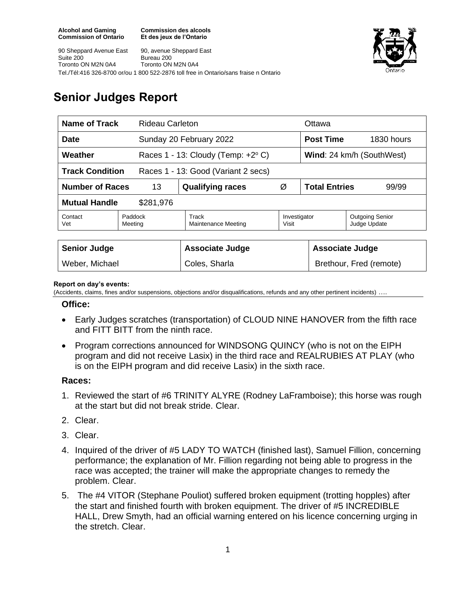**Commission des alcools Et des jeux de l'Ontario**





# **Senior Judges Report**

| <b>Name of Track</b><br><b>Rideau Carleton</b>                |                    |                                             |                       | Ottawa                        |                                        |  |
|---------------------------------------------------------------|--------------------|---------------------------------------------|-----------------------|-------------------------------|----------------------------------------|--|
| <b>Date</b>                                                   |                    | Sunday 20 February 2022                     |                       | <b>Post Time</b>              | 1830 hours                             |  |
| Weather                                                       |                    | Races 1 - 13: Cloudy (Temp: $+2^{\circ}$ C) |                       | Wind: 24 km/h (SouthWest)     |                                        |  |
| <b>Track Condition</b><br>Races 1 - 13: Good (Variant 2 secs) |                    |                                             |                       |                               |                                        |  |
| <b>Number of Races</b><br>13                                  |                    | <b>Qualifying races</b>                     | Ø                     | <b>Total Entries</b><br>99/99 |                                        |  |
| <b>Mutual Handle</b><br>\$281,976                             |                    |                                             |                       |                               |                                        |  |
| Contact<br>Vet                                                | Paddock<br>Meeting | Track<br>Maintenance Meeting                | Investigator<br>Visit |                               | <b>Outgoing Senior</b><br>Judge Update |  |
|                                                               |                    |                                             |                       |                               |                                        |  |
| <b>Senior Judge</b>                                           |                    | <b>Associate Judge</b>                      |                       |                               | <b>Associate Judge</b>                 |  |
| Weber, Michael                                                |                    | Coles, Sharla                               |                       |                               | Brethour, Fred (remote)                |  |

#### **Report on day's events:**

(Accidents, claims, fines and/or suspensions, objections and/or disqualifications, refunds and any other pertinent incidents) ….

### **Office:**

- Early Judges scratches (transportation) of CLOUD NINE HANOVER from the fifth race and FITT BITT from the ninth race.
- Program corrections announced for WINDSONG QUINCY (who is not on the EIPH program and did not receive Lasix) in the third race and REALRUBIES AT PLAY (who is on the EIPH program and did receive Lasix) in the sixth race.

### **Races:**

- 1. Reviewed the start of #6 TRINITY ALYRE (Rodney LaFramboise); this horse was rough at the start but did not break stride. Clear.
- 2. Clear.
- 3. Clear.
- 4. Inquired of the driver of #5 LADY TO WATCH (finished last), Samuel Fillion, concerning performance; the explanation of Mr. Fillion regarding not being able to progress in the race was accepted; the trainer will make the appropriate changes to remedy the problem. Clear.
- 5. The #4 VITOR (Stephane Pouliot) suffered broken equipment (trotting hopples) after the start and finished fourth with broken equipment. The driver of #5 INCREDIBLE HALL, Drew Smyth, had an official warning entered on his licence concerning urging in the stretch. Clear.